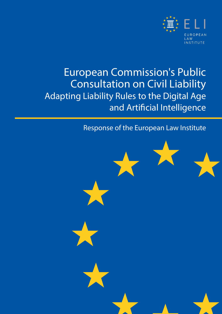

### European Commission's Public Consultation on Civil Liability Adapting Liability Rules to the Digital Age and Artificial Intelligence

### Response of the European Law Institute

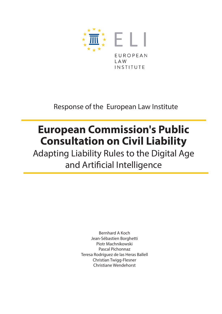

Response of the European Law Institute

## **European Commission's Public Consultation on Civil Liability**

Adapting Liability Rules to the Digital Age and Artificial Intelligence

> Bernhard A Koch Jean-Sébastien Borghetti Piotr Machnikowski Pascal Pichonnaz Teresa Rodríguez de las Heras Ballell Christian Twigg-Flesner Christiane Wendehorst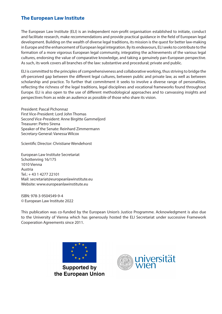#### **The European Law Institute**

The European Law Institute (ELI) is an independent non-profit organisation established to initiate, conduct and facilitate research, make recommendations and provide practical guidance in the field of European legal development. Building on the wealth of diverse legal traditions, its mission is the quest for better law-making in Europe and the enhancement of European legal integration. By its endeavours, ELI seeks to contribute to the formation of a more vigorous European legal community, integrating the achievements of the various legal cultures, endorsing the value of comparative knowledge, and taking a genuinely pan-European perspective. As such, its work covers all branches of the law: substantive and procedural; private and public.

ELI is committed to the principles of comprehensiveness and collaborative working, thus striving to bridge the oft-perceived gap between the different legal cultures, between public and private law, as well as between scholarship and practice. To further that commitment it seeks to involve a diverse range of personalities, reflecting the richness of the legal traditions, legal disciplines and vocational frameworks found throughout Europe. ELI is also open to the use of different methodological approaches and to canvassing insights and perspectives from as wide an audience as possible of those who share its vision.

President: Pascal Pichonnaz First Vice-President: Lord John Thomas Second Vice-President: Anne Birgitte Gammeljord Treasurer: Pietro Sirena Speaker of the Senate: Reinhard Zimmermann Secretary-General: Vanessa Wilcox

Scientific Director: Christiane Wendehorst

European Law Institute Secretariat Schottenring 16/175 1010 Vienna Austria Tel.: + 43 1 4277 22101 Mail: [secretariat@europeanlawinstitute.eu](mailto:secretariat%40europeanlawinstitute.eu?subject=)  Website: [www.europeanlawinstitute.eu](http://www.europeanlawinstitute.eu)

ISBN: 978-3-9504549-9-4 © European Law Institute 2022

This publication was co-funded by the European Union's Justice Programme. Acknowledgment is also due to the University of Vienna which has generously hosted the ELI Secretariat under successive Framework Cooperation Agreements since 2011.



**Supported by** the European Union

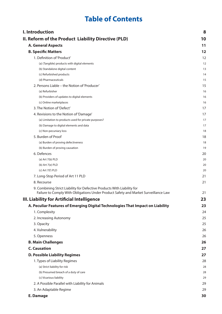### **Table of Contents**

| I. Introduction                                                                                                                                                | 8  |
|----------------------------------------------------------------------------------------------------------------------------------------------------------------|----|
| II. Reform of the Product Liability Directive (PLD)                                                                                                            | 10 |
| <b>A. General Aspects</b>                                                                                                                                      | 11 |
| <b>B. Specific Matters</b>                                                                                                                                     | 12 |
| 1. Definition of 'Product'                                                                                                                                     | 12 |
| (a) (Tangible) products with digital elements                                                                                                                  | 12 |
| (b) Standalone digital content                                                                                                                                 | 13 |
| (c) Refurbished products                                                                                                                                       | 14 |
| (d) Pharmaceuticals                                                                                                                                            | 15 |
| 2. Persons Liable – the Notion of 'Producer'                                                                                                                   | 15 |
| (a) Refurbisher                                                                                                                                                | 16 |
| (b) Providers of updates to digital elements                                                                                                                   | 16 |
| (c) Online marketplaces                                                                                                                                        | 16 |
| 3. The Notion of 'Defect'                                                                                                                                      | 17 |
| 4. Revisions to the Notion of 'Damage'                                                                                                                         | 17 |
| (a) Limitation to products used for private purposes?                                                                                                          | 17 |
| (b) Damage to digital elements and data                                                                                                                        | 17 |
| (c) Non-pecuniary loss                                                                                                                                         | 18 |
| 5. Burden of Proof                                                                                                                                             | 18 |
| (a) Burden of proving defectiveness                                                                                                                            | 18 |
| (b) Burden of proving causation                                                                                                                                | 19 |
| 6. Defences                                                                                                                                                    | 20 |
| (a) $Art 7(b) PLD$                                                                                                                                             | 20 |
| (b) Art 7(e) PLD                                                                                                                                               | 20 |
| (c) Art 7(f) PLD                                                                                                                                               | 20 |
| 7. Long-Stop Period of Art 11 PLD                                                                                                                              | 21 |
| 8. Recourse                                                                                                                                                    | 21 |
| 9. Combining Strict Liability for Defective Products With Liability for<br>Failure to Comply With Obligations Under Product Safety and Market Surveillance Law | 21 |
| III. Liability for Artificial Intelligence                                                                                                                     | 23 |
| A. Peculiar Features of Emerging Digital Technologies That Impact on Liability                                                                                 | 23 |
| 1. Complexity                                                                                                                                                  | 24 |
| 2. Increasing Autonomy                                                                                                                                         | 25 |
|                                                                                                                                                                | 25 |
| 3. Opacity                                                                                                                                                     |    |
| 4. Vulnerability                                                                                                                                               | 26 |
| 5. Openness                                                                                                                                                    | 26 |
| <b>B. Main Challenges</b>                                                                                                                                      | 26 |
| <b>C. Causation</b>                                                                                                                                            | 27 |
| <b>D. Possible Liability Regimes</b>                                                                                                                           | 27 |
| 1. Types of Liability Regimes                                                                                                                                  | 28 |
| (a) Strict liability for risk                                                                                                                                  | 28 |
| (b) Presumed breach of a duty of care                                                                                                                          | 28 |
| (c) Vicarious liability                                                                                                                                        | 29 |
| 2. A Possible Parallel with Liability for Animals                                                                                                              | 29 |
| 3. An Adaptable Regime                                                                                                                                         | 29 |
| E. Damage                                                                                                                                                      | 30 |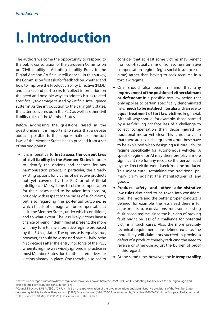## <span id="page-7-0"></span>**I. Introduction**

The authors welcome the opportunity to respond to the public consultation of the European Commission on 'Civil Liability – Adapting Liability Rules to the Digital Age and Artificial Intelli-gence<sup>"</sup> In this survey, the Commission first asks for feedback on whether and how to improve the Product Liability Directive (PLD),<sup>2</sup> and in a second part seeks to 'collect information on the need and possible ways to address issues related specifically to damage caused by Artificial Intelligence systems'. As the introduction to the call rightly states, the latter concerns both the PLD as well as other civil liability rules of the Member States.

Before addressing the questions raised in the questionnaire, it is important to stress that a debate about a possible further approximation of the tort laws of the Member States has to proceed from a set of starting points:

• It is imperative to **first assess the current laws of civil liability in the Member States** in order to identify the options and chances for any harmonisation project. In particular, the already existing options for victims of defective products not yet covered by the PLD or of Artificial Intelligence (AI) systems to claim compensation for their losses need to be taken into account, not only with respect to the bases of such claims, but also regarding the po-tential outcome, ie which heads of damage will be compensable at all in the Member States, under which conditions, and to what extent. The less likely victims have a chance of being indemnified at present, the more will they turn to any alternative regime proposed by the EU legislator. The opposite is equally true, however, as could be witnessed particu-larly in the first decades after the entry into force of the PLD, when its regime was widely ignored in practice in most Member States due to other alternatives for victims already in place. One thereby also has to

consider that at least some victims may benefit from con-tractual claims or from some alternative compensation regime (eg a social insurance regime) rather than having to seek recourse in a tort law regime.

- One should also bear in mind that **any improvement of the position of either claimant or defendant** in a possible tort law action that only applies to certain specifically denominated risks **needs to be justified** inter alia with an eye to **equal treatment of tort law victims** in general. After all, why should, for example, those harmed by a self-driving car face less of a challenge to collect compensation than those injured by traditional motor vehicles? This is not to claim that there are no such arguments, but these have to be explained when designing a future liability regime specifically for autonomous vehicles. A specific regime for AI may therefore play a more significant role for any recourse the person sued by the direct victim would seek from the producer. This might entail rethinking the traditional primary claim against the manufacturer of any goods.
- **Product safety and other administrative law rules** also need to be taken into consideration. The more and the better proper conduct is defined, for example, the less need there is for adjustments to, or deviations from, some existing fault-based regime, since the bur-den of proving fault might be less of a challenge for potential victims in such cases. Also, the more precisely technical requirements are defined ex ante, the more likely will claim-ants succeed in proving a defect of a product, thereby reducing the need to reverse or otherwise adjust the burden of proof in this regard.
- At the same time, however, the **interoperability**

<sup>1 &</sup>lt;https://ec.europa.eu/info/law/better-regulation/have-your-say/initiatives/12979-Civil-liability-adapting-liability-rules-to-the-digital-age-andartificial-intelligence/public-consultation\_en>.

<sup>&</sup>lt;sup>2</sup> Council Directive 85/374/EEC of 25 July 1985 on the approximation of the laws, regulations and administrative provisions of the Member States concerning liability for defective products [1985] Official Journal (OJ) L 210/29, as amended by Directive 1999/34/EC of the European Parliament and of the Council of 10 May 1999 [1999] Official Journal (OJ) L 141/20.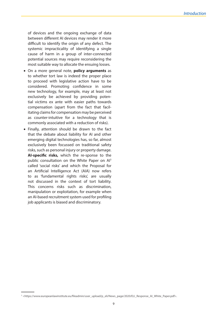of devices and the ongoing exchange of data between different AI devices may render it more difficult to identify the origin of any defect. The systemic impracticality of identifying a single cause of harm in a group of inter-connected potential sources may require reconsidering the most suitable way to allocate the ensuing losses.

- On a more general note, **policy arguments** as to whether tort law is indeed the proper place to proceed with legislative action have to be considered. Promoting confidence in some new technology, for example, may at least not exclusively be achieved by providing potential victims ex ante with easier paths towards compensation (apart from the fact that facilitating claims for compensation may be perceived as counter-intuitive for a technology that is commonly associated with a reduction of risks).
- Finally, attention should be drawn to the fact that the debate about liability for AI and other emerging digital technologies has, so far, almost exclusively been focussed on traditional safety risks, such as personal injury or property damage. **AI-specific risks,** which the re-sponse to the public consultation on the White Paper on Al<sup>3</sup> called 'social risks' and which the Proposal for an Artificial Intelligence Act (AIA) now refers to as 'fundamental rights risks', are usually not discussed in the context of tort liability. This concerns risks such as discrimination, manipulation or exploitation, for example when an AI-based recruitment system used for profiling job applicants is biased and discriminatory.

<sup>3 &</sup>lt;https://www.europeanlawinstitute.eu/fileadmin/user\_upload/p\_eli/News\_page/2020/ELI\_Response\_AI\_White\_Paper.pdf>.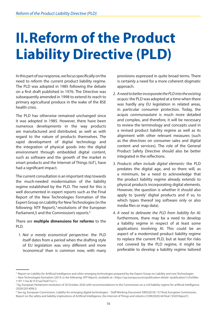# <span id="page-9-0"></span>**II.Reform of the Product Liability Directive (PLD)**

In this part of our response, we focus specifically on the need to reform the current product liability regime. The PLD was adopted in 1985 following the debate on a first draft published in 1976. The Directive was subsequently amended in 1998 to extend its reach to primary agricultural produce in the wake of the BSE health crisis.

The PLD has otherwise remained unchanged since it was adopted in 1985. However, there have been numerous developments in the way products are manufactured and distributed, as well as with regard to the nature of products themselves. The rapid development of digital technology and the integration of physical goods into the digital environment through embedded digital content, such as software and the growth of the market in smart products and the Internet of Things (IoT), have had a significant impact.

The current consultation is an important step towards the much-needed modernisation of the liability regime established by the PLD. The need for this is well documented in expert reports such as the Final Report of the New Technologies Formation of the Expert Group on Liability for New Technologies (in the following: NTF Report),<sup>4</sup> resolutions of the European Parliament,5 and the Commission's reports.<sup>6</sup>

#### There are **multiple dimensions for reforms** to the PLD.

*1. Not a merely economical perspective:* the PLD itself dates from a period when the drafting style of EU legislation was very different and more 'economical' than is common now, with many provisions expressed in quite broad terms. There is certainly a need for a more coherent dogmatic approach.

- *2. A need to better incorporate the PLD into the existing acquis:* the PLD was adopted at a time when there was hardly any EU legislation in related areas, in particular consumer protection. Today, the acquis *communautaire* is much more detailed and complex, and therefore, it will be necessary to review the terminology and concepts used in a revised product liability regime as well as its alignment with other relevant measures (such as the directives on consumer sales and digital content and services). The role of the General Product Safety Directive should also be better integrated in the reflections.
- *3. Products often include digital elements:* the PLD predates the digital age, and so there will, as a minimum, be a need to acknowledge that the product liability regime already extends to physical products incorporating digital elements. However, the question is whether it should also apply to 'purely' digital products and if so, to which types thereof (eg software only or also media files or map data).
- *4. A need to delineate the PLD from liability for AI:*  furthermore, there may be a need to develop a liability regime in respect of at least some applications involving AI. This could be an aspect of a modernised product liability regime to replace the current PLD, but at least for risks not covered by the PLD regime, it might be preferable to develop a liability regime tailored

<sup>4</sup> Report on Liability for Artificial Intelligence and other emerging technologies prepared by the Expert Group on Liability and new Technologies

<sup>–</sup> New Technologies formation (2019, in the following: *NTF Report*), available at <https://op.europa.eu/en/publication-detail/-/publication/1c5e30be-1197-11ea-8c1f-01aa75ed71a1/>.

<sup>&</sup>lt;sup>5</sup> Eg. European Parliament resolution of 20 October 2020 with recommendations to the Commission on a civil liability regime for artificial intelligence (2020/2014(INL)).

<sup>6</sup> See eg, European Commission, Liability for emerging digital technologies – Staff Working Document SWD(2018) 137 final; European Commission, Report on the safety and liability implications of Artificial Intelligence, the Internet of Things and robotics COM(2020) 64 final ('2020 Report').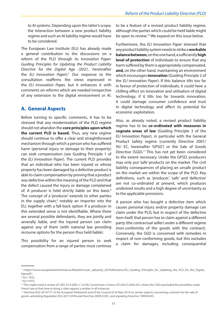<span id="page-10-0"></span>to AI systems. Depending upon the latter's scope, the interaction between a new product liability regime and such an AI liability regime would have to be considered.

The European Law Institute (ELI) has already made a general contribution to the discussions on a reform of the PLD through its I*nnovation Paper: Guiding Principles for Updating the Product Liability Directive for the Digital Age* (2021, hereinafter the *ELI Innovation Paper*).7 Our response to the consultation reaffirms the views expressed in the *ELI Innovation Paper,* but it enhances it with comments on reforms which are needed irrespective of any extension to the digital environment or AI.

#### **A. General Aspects**

Before turning to specific comments, it has to be stressed that any modernisation of the PLD regime should not abandon the **core principles upon which the current PLD is based.** Thus, any new regime should continue to offer a clear and straightforward mechanism through which a person who has suffered harm (personal injury or damage to their property) can seek compensation (see Guiding Principle 1 of the *ELI Innovation Paper*). The current PLD provides that an individual who has been injured or whose property has been damaged by a defective product is able to claim compensation by proving that a product was defective within the meaning of the PLD and that the defect caused the injury or damage complained of. A producer is held strictly liable on this basis.<sup>8</sup> The concept of a 'producer' extends to other parties in the supply chain,<sup>9</sup> notably an importer into the EU, together with a fall-back option if a producer in this extended sense is not identifiable. Where there are several possible defendants, they are jointly and severally liable, and the injured person can claim against any of them (with national law providing recourse options for the person thus held liable).

This possibility for an injured person to seek compensation from a range of parties must continue to be a feature of a revised product liability regime, although the parties which could be held liable might be open to review.<sup>10</sup> We expand on this issue below.

Furthermore, the *ELI Innovation Paper* stressed that any product liability system needs to strike a **workable balance between,** on the one hand, a sufficiently **high level of protection** of individuals to ensure that any harm suffered by them is appropriately compensated, **and,** on the other hand, maintaining an environment which encourages **innovation** (Guiding Principle 2 of the *ELI Innovation Paper*). If this balance tilts too far in favour of protection of individuals, it could have a chilling effect on innovation and utilisation of digital technology; if it tilts too far towards innovation, it could damage consumer confidence and trust in digital technology and affect its potential for economic exploitation.

Also, as already noted, a revised product liability regime has to be **co-ordinated with measures in cognate areas of law** (Guiding Principle 3 of the *ELI Innovation Paper*), in particular with the General Product Safety regime (currently Directive 2001/ 95/ EC, hereinafter 'GPSD') or the Sale of Goods Directive (SGD).<sup>11</sup> This has not yet been considered to the extent necessary. Under the GPSD, producers may only put 'safe' products on the market. The civil liability consequences of placing an unsafe product on the market are within the scope of the PLD. Key definitions, such as 'producer', 'safe' and 'defective' are not co-ordinated at present, which produces undesired results and a high degree of uncertainty as to the applicable provisions.

A person who has bought a defective item which causes personal injury and/or property damage can claim under the PLD, but in respect of the defective item itself, that person has to claim against a different party (the contractual seller) under a different regime (non-conformity of the goods with the contract). Conversely, the SGD is concerned with remedies in respect of non-conforming goods, but this excludes a claim for damages, including consequential

<sup>7 &</sup>lt;https://www.europeanlawinstitute.eu/fileadmin/user\_upload/p\_eli/Publications/ELI\_Guiding\_Principles\_for\_Updating\_the\_PLD\_for\_the\_Digital\_ Age.pdf>.

<sup>8</sup> Art 1 PLD.

<sup>9</sup> Art 3 PLD.

<sup>10</sup> This might entail a review of CJEU 25.4.2002, C-52/00, *Commission v France,* ECLI:EU:C:2002:252, where the CJEU precluded the possibility under French law at that time to bring a claim against a retailer in all instances.

<sup>11</sup> Directive (EU) 2019/771 of the European Parliament and of the Council of 20 May 2019 on certain aspects concerning contracts for the sale of goods, amending Regulation (EU) 2017/2394 and Directive 2009/22/EC, and repealing Directive 1999/44/EC.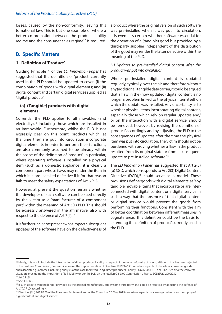<span id="page-11-0"></span>losses, caused by the non-conformity, leaving this to national law. This is but one example of where a better co-ordination between the product liability regime and the consumer sales regime<sup>12</sup> is required.

#### **B. Specific Matters**

#### **1. Definition of 'Product'**

Guiding Principle 4 of the *ELI Innovation Paper* has suggested that the definition of 'product' currently used in the PLD should be updated to cover: (i) the combination of goods with digital elements; and (ii) digital content and certain digital services supplied as 'digital products'.

#### **(a) (Tangible) products with digital elements**

Currently, the PLD applies to all movables (and electricity), $13$  including those which are installed in an immovable. Furthermore, whilst the PLD is not expressly clear on this point, products which, at the time they are put into circulation incorporate digital elements in order to perform their functions, are also commonly assumed to be already within the scope of the definition of 'product'. In particular, where operating software is installed on a physical item (such as a domestic appliance), it is clearly a component part whose flaws may render the item in which it is pre-installed defective if it for that reason fails to meet the safety expectations of Art 6 PLD.

However, at present the question remains whether the developer of such software can be sued directly by the victim as a 'manufacturer of a component part' within the meaning of Art 3(1) PLD. This should be expressly answered in the affirmative, also with respect to the defence of Art 7(f).<sup>14</sup>

It is further unclear at present what impact subsequent updates of the software have on the defectiveness of a product where the original version of such software was pre-installed when it was put into circulation. It is even less certain whether software essential for the operation of a (tangible) good but provided by a third-party supplier independent of the distribution of the good may render the latter defective within the meaning of the PLD.

#### *(1) Updates to pre-installed digital content after the product was put into circulation*

Where pre-installed digital content is updated regularly, typically over the air and therefore without any (additional) tangible data carrier, it could be argued that a flaw in the (now updated) digital content is no longer a problem linked to the physical item itself on which the update was installed. Any uncertainty as to whether physical items incorporating digital content, especially those which rely on regular updates and/ or on the interaction with a digital service, should be removed, however, by revising the definition of 'product' accordingly and by adjusting the PLD to the consequences of updates after the time the physical item was put into circulation. The victim should not be burdened with proving whether a flaw in the product resulted from its original state or from a subsequent update to pre-installed software.15

The *ELI Innovation Paper* has suggested that Art 2(5) (b) SGD, which corresponds to Art 2(3) Digital Content Directive (DCD),<sup>16</sup> could serve as a model. These provisions define 'goods with digital elements' as 'any tangible movable items that incorporate or are interconnected with digital content or a digital service in such a way that the absence of that digital content or digital service would prevent the goods from performing their functions'. Consistent with the aim of better coordination between different measures in cognate areas, this definition could be the basis for extending the definition of 'product' currently used in the PLD.

<sup>&</sup>lt;sup>12</sup> Ideally, this would include the introduction of direct producer liability in respect of the non-conformity of goods, although this has been rejected in the past: see Commission, Communication on the implementation of Directive 1999/44/EC on certain aspects of the sale of consumer goods and associated guarantees including analysis of the case for introducing direct producers' liability COM (2007) 210 final (12). See also the converse situation, precluding the imposition of full liability under the PLD on the retailer: C-52/00 Commission v France ECLI:EU:C:2002:252. 13 Art 2 PLD.

<sup>14</sup> See II.B.6(c).

<sup>&</sup>lt;sup>15</sup> If such update were no longer provided by the original manufacturer, but by some third party, this could be resolved by adjusting the defence of Art 7(b) PLD accordingly.

<sup>&</sup>lt;sup>16</sup> Directive (EU) 2019/770 of the European Parliament and of the Council of 20 May 2019 on certain aspects concerning contracts for the supply of digital content and digital services.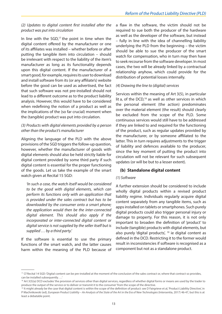#### <span id="page-12-0"></span>*(2) Updates to digital content first installed after the product was put into circulation*

In line with the  $SGD<sub>1</sub><sup>17</sup>$  the point in time when the digital content offered by the manufacturer or one of its affiliates was installed – whether before or after putting the tangible item into circulation – should be irrelevant with respect to the liability of the item's manufacturer as long as its functionality depends upon this digital content. If the manufacturer of a smart good, for example, requires its user to download and install software from its (or any affiliate's) website before the good can be used as advertised, the fact that such software was not pre-installed should not lead to a different outcome as to the product liability analysis. However, this would have to be considered when redefining the notion of a product as well as the implications of the (so far crucial) moment when the (tangible) product was put into circulation.

#### *(3) Products with digital elements provided by a person other than the product's manufacturer*

Aligning the language of the PLD with the above provisions of the SGD triggers the follow-up question, however, whether the manufacturer of goods with digital elements should also be held strictly liable for digital content provided by some third party if such digital content is essential for the proper functioning of the goods. Let us take the example of the smart watch given at Recital 15 SGD:

*'In such a case, the watch itself would be considered to be the good with digital elements, which can perform its functions only with an application that is provided under the sales contract but has to be downloaded by the consumer onto a smart phone; the application would then be the inter-connected digital element. This should also apply if the incorporated or inter-connected digital content or digital service is not supplied by the seller itself but is supplied … by a third party.'* 

If the software is essential to use the primary functions of the smart watch, and the latter causes harm within the meaning of the PLD because of a flaw in the software, the victim should not be required to sue both the producer of the hardware as well as the developer of the software, but instead – fully in line with the idea of channelling liability underlying the PLD from the beginning – the victim should be able to sue the producer of the smart watch for compensation, who in turn may then have to seek recourse from the software developer. In most cases, the two will be already linked by a contractual relationship anyhow, which could provide for the distribution of potential losses internally.

#### *(4) Drawing the line to (digital) services*

Services within the meaning of Art 3(5), in particular lit a, of the  $DCD<sub>i</sub><sup>18</sup>$  as well as other services in which the personal element (the action) predominates over the material element (the result) should clearly be excluded from the scope of the PLD. Some continuous services would still have to be addressed if they are linked to and required for the functioning of the product, such as regular updates provided by the manufacturer, or by someone affiliated to the latter. This in turn requires adjustments to the trigger of liability and defences available to the producer, since the key moment of putting the product into circulation will not be relevant for such subsequent updates (or will be but to a lesser extent).

#### **(b) Standalone digital content**

#### *(1) Software*

A further extension should be considered to include wholly digital products within a revised product liability regime. Individuals regularly acquire digital content separately from any tangible items, such as apps installed on tablets or smartphones. Such purely digital products could also trigger personal injury or damage to property. For this reason, it is not only important to broaden the definition of 'product' to include (tangible) products with digital elements, but also purely 'digital products', 19 ie digital content as defined in the DCD. Restricting it to the former would result in inconsistencies if software is recognised as a component but not as a standalone product.

<sup>&</sup>lt;sup>17</sup> Cf Recital 14 SGD: 'Digital content can be pre-installed at the moment of the conclusion of the sales contract or, where that contract so provides, can be installed subsequently. …'

<sup>&</sup>lt;sup>18</sup> Art 3(5)(a) DCD excludes 'the provision of services other than digital services, regardless of whether digital forms or means are used by the trader to produce the output of the service or to deliver or transmit it to the consumer' from the scope of the directive.

<sup>&</sup>lt;sup>19</sup> It might already be the case that digital content is within the scope of the definition of product: see D Fairgrieve et al, 'Product Liability Directive', in P Machnikowski (ed), *European Product Liability – An Analysis of the State of the Art in the Era of New Technologies* (Intersentia, 2017) 46-47, but this is at least a debatable point.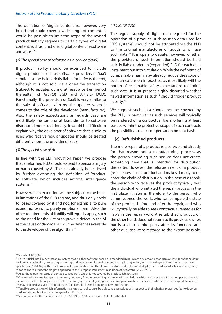<span id="page-13-0"></span>The definition of 'digital content' is, however, very broad and could cover a wide range of content. It would be possible to limit the scope of the revised product liability regimes to certain types of digital content, such as functional digital content (ie software and apps). $20$ 

#### *(2) The special case of software-as-a-service (SaaS)*

If product liability should be extended to include digital products such as software, providers of SaaS should also be held strictly liable for defects thereof, although it is not sold via a one-time transaction (subject to updates during at least a certain period thereafter; cf Art 7(3) SGD and Art 8(2) DCD). Functionally, the provision of SaaS is very similar to the sale of software with regular updates when it comes to the role of the developer (manufacturer). Also, the safety expectations as regards SaaS are most likely the same or at least similar to software distributed more traditionally. It would be difficult to explain why the developer of software that is sold to users who receive regular updates should be treated differently from the provider of SaaS.

#### *(3) The special case of AI*

In line with the ELI Innovation Paper, we propose that a reformed PLD should extend to personal injury or harm caused by AI. This can already be achieved by further extending the definition of 'product' to software, which includes artificial intelligence systems. 21

However, such extension will be subject to the builtin limitations of the PLD regime, and thus only apply to losses covered by it and not, for example, to pure economic loss or to purely emotional harm. Also, the other requirements of liability will equally apply, such as the need for the victim to prove a defect in the AI as the cause of damage, as will the defences available to the developer of the algorithm.<sup>22</sup>

#### *(4) Digital data*

The regular supply of digital data required for the operation of a product (such as map data used for GPS systems) should not be attributed via the PLD to the original manufacturer of goods which use such data.<sup>23</sup> It is open to debate, however, whether the providers of such information should be held strictly liable under an (expanded) PLD for each data instalment put into circulation. While the definition of compensable harm may already reduce the scope of such an extension in practice, as most likely will the notion of reasonable safety expectations regarding such data, it is at present highly disputed whether flawed information as such $24$  should trigger product liability.<sup>25</sup>

We suggest such data should not be covered by the PLD, in particular as such services will typically be rendered on a contractual basis, offering at least parties within the protective scope of such contracts the possibility to seek compensation on that basis.

#### **(c) Refurbished products**

The mere repair of a product is a service and already for that reason not a manufacturing process, as the person providing such service does not create something new that is intended for distribution thereafter. However, the refurbishment of a product (re-) creates a used product and makes it ready to reenter the chain of distribution. In the case of a repair, the person who receives the product typically was the individual who initiated the repair process in the first place; it returns, therefore, to the person who commissioned the work, who can compare the state of the product before and after the repair, and who will typically be able to seek contractual remedies for flaws in the repair work. A refurbished product, on the other hand, does not return to its previous owner, but is sold to a third party after its functions and other qualities were restored to the extent possible,

 $20$  See also II.B.1(b)(4).

<sup>&</sup>lt;sup>21</sup> Eg, "artificial intelligence" means a system that is either software-based or embedded in hardware devices, and that displays intelligent behaviour by, inter alia, collecting, processing, analysing, and interpreting its environment, and by taking action, with some degree of autonomy, to achieve specific goals': Art 4(a) of the draft proposal for a regulation on ethical principles for the development, deployment and use of artificial intelligence, robotics and related technologies appended to the European Parliament resolution of 20 October 2020 (fn 5).

<sup>&</sup>lt;sup>22</sup> As to the remaining cases of damage caused by AI which is not covered by product liability, see III.

<sup>&</sup>lt;sup>23</sup> One would have to distinguish therefrom, however, flaws in processing or transmitting such data, which alienates the information per se, leaves it incomplete or the like, or problems of the receiving system in digesting such incoming information. The above only focuses on the geodata as such (as may also be displayed in printed maps, for example) or similar 'mere' or 'raw' information.

<sup>&</sup>lt;sup>24</sup> Tangible products on which information is stored can, of course, be defective themselves with respect to their physical properties (eg toxic colour used for printing books or sharp edges of a USB stick).

<sup>&</sup>lt;sup>25</sup> See in particular the recent case CJEU 10.6.2021 C-65/20, VI v Krone, ECLI:EU:C:2021:471.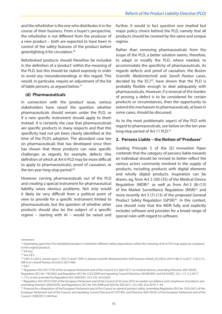<span id="page-14-0"></span>and the refurbisher is the one who distributes it in the course of their business. From a buyer's perspective, the refurbisher is not different from the producer of a new product – both are expected to have been in control of the safety features of the product before greenlighting it for circulation.26

Refurbished products should therefore be included in the definition of a 'product' within the meaning of the PLD, but this should be stated expressly in order to avoid any misunderstandings in this regard. This would, in particular, require an adjustment of the list of liable persons, as argued below.27

#### **(d) Pharmaceuticals**

In connection with the 'product' issue, various stakeholders have raised the question whether pharmaceuticals should remain under the PLD, or if a new specific instrument should apply to them instead. It is certainly the case that pharmaceuticals are specific products in many respects and that this specificity had not yet been clearly identified at the time of the PLD's adoption. The abundant case law on pharmaceuticals that has developed since then has shown that these products can raise specific challenges as regards, for example, defects (the definition of which at Art 6 PLD may be more difficult to apply to pharmaceuticals), proof of causation, or the ten-year long-stop period.<sup>28</sup>

However, carving pharmaceuticals out of the PLD and creating a special instrument for pharmaceutical liability raises obvious problems. Not only would it likely be very difficult from a political point of view to provide for a specific instrument limited to pharmaceuticals, but the question of whether other products should also be the subject of a specific regime – starting with AI – would be raised and

further, it would in fact question one implied but major policy choice behind the PLD, namely that all products should be covered by the same and unique regime.

Rather than removing pharmaceuticals from the scope of the PLD, a better solution seems, therefore, to adapt or modify the PLD, where needed, to accommodate the specificity of pharmaceuticals. As regards defects and proof of causation, the *Boston Scientific Medizintechnik* and *Sanofi Pasteur* cases, decided by the  $ECJ^{29}$ , have shown that the PLD is probably flexible enough to deal adequately with pharmaceuticals. However, if a reversal of the burden of proving a defect is to be considered for certain products or circumstances, then the opportunity to extend this mechanism to pharmaceuticals, at least in some cases, should be discussed.

As to the most problematic aspect of the PLD with regard to pharmaceuticals, see below on the ten-year long-stop period of Art 11 PLD.<sup>30</sup>

#### **2. Persons Liable – the Notion of 'Producer'**

Guiding Principle 5 of the *ELI Innovation Paper*  contends that the category of persons liable towards an individual should be revised to better reflect the various actors commonly involved in the supply of products, including products with digital elements and wholly digital products. Inspiration can be drawn, eg, from Art 2 (30)-(35) of the Medical Device Regulation  $(MDR)^{31}$  as well as from Art 3 (8)-(13) of the Market Surveillance Regulation (MSR)<sup>32</sup> and more recently Art 3 (7)-(13) of the proposed General Product Safety Regulation (GPSR)<sup>33</sup>. In this context, one should note that the MDR fully and explicitly includes software and provides for a broad range of special rules with regard to software.

Regulation (EC) No 178/2002 and Regulation (EC) No 1223/2009 and repealing Council Directives 90/385/EEC and 93/42/EEC, OJ L 117, 5.5.2017, 1–175, as last amended by Regulation (EU) 2020/561, OJ L130, 24.4.2020.

<sup>&</sup>lt;sup>26</sup> Depending upon how the refurbished product is marketed, different safety expectations within the meaning of Art 6 PLD may apply (as compared to the original product).

 $27$  II.B.2(a).

<sup>&</sup>lt;sup>28</sup> See II.B.7.

<sup>29</sup> CJEU 5.3.2015, Joined cases C-503/13 and C-504/13, *Boston Scientific Medizintechnik v AOK Sachsen-Anhalt,* ECLI:EU:C:2015:148; 21.6.2017, C-621/15, *NW et al v Sanofi Pasteur,* ECLI:EU:C:2017:484.

<sup>30</sup> II.B.7

<sup>&</sup>lt;sup>31</sup> Regulation (EU) 2017/745 of the European Parliament and of the Council of 5 April 2017 on medical devices, amending Directive 2001/83/EC,

<sup>&</sup>lt;sup>32</sup> Regulation (EU) 2019/1020 of the European Parliament and of the Council of 20 June 2019 on market surveillance and compliance of products and amending Directive 2004/42/EC and Regulations (EC) No 765/2008 and (EU) No 305/2011, OJ L169, 25.6.2019, 1–44.

<sup>&</sup>lt;sup>33</sup> Proposal for a Regulation of the European Parliament and of the Council on general product safety, amending Regulation (EU) No 1025/2012 of the European Parliament and of the Council, and repealing Council Directive 87/357/EEC and Directive 2001/95/EC of the European Parliament and of the Council, COM(2021) 346 final.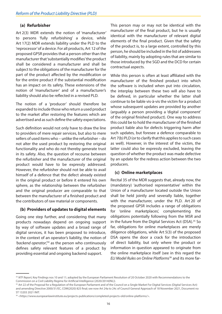#### <span id="page-15-0"></span>**(a) Refurbisher**

Art 2(3) MDR extends the notion of 'manufacturer' to persons 'fully refurbishing' a device, while Art 17(2) MDR extends liability under the PLD to the 'reprocessor' of a device. For all products, Art 12 of the proposed GPSR provides that a person other than the manufacturer that 'substantially modifies' the product shall be considered a manufacturer and shall be subject to the obligations of the manufacturer for the part of the product affected by the modification or for the entire product if the substantial modification has an impact on its safety. These extensions of the notion of 'manufacturer' and of a manufacturer's liability should also be reflected in a revised PLD.

The notion of a 'producer' should therefore be expanded to include those who return a used product to the market after restoring the features which are advertised and as such define the safety expectations.

Such definition would not only have to draw the line to providers of mere repair services, but also to mere sellers of used items who – unlike the refurbisher – do not alter the used product by restoring the original functionality and who do not thereby generate trust in its safety. Also, the question of recourse between the refurbisher and the manufacturer of the original product would have to be expressly addressed. However, the refurbisher should not be able to avail himself of a defence that the defect already existed in the original product or before it entered his own sphere, as the relationship between the refurbisher and the original producer are comparable to that between the manufacturer of a finished product and the contributors of raw material or components.

#### **(b) Providers of updates to digital elements**

Going one step further, and considering that many products nowadays depend on ongoing support by way of software updates and a broad range of digital services, it has been proposed to introduce, in the context of an operator's liability, the notion of *'backend operator',*34 as the person who continuously defines safety relevant features of a product by providing essential and ongoing backend support.

This person may or may not be identical with the manufacturer of the final product, but he is usually identical with the manufacturer of relevant digital elements of the final product. Given that the safety of the product is, to a large extent, controlled by this person, he should be included in the list of addressees of liability, mainly by adopting rules that are similar to those introduced by the SGD and the DCD for certain contractual aspects.

While this person is often at least affiliated with the manufacturer of the finished product into which the software is included when put into circulation, the interplay between these two will also have to be defined, in particular whether the latter shall continue to be liable vis-à-vis the victim for a product whose subsequent updates are provided by another (arguably a person providing a 'digital component' of the original finished product). One way to address this could be to hold the manufacturer of the finished product liable also for defects triggering harm after such updates, but foresee a defence comparable to Art 7(b) PLD (or to clarify that this applies to such cases as well). However, in the interest of the victim, the latter could also be expressly excluded, leaving the question of whether the product was made defective by an update for the redress action between the two producers.

#### **(c) Online marketplaces**

Recital 35 of the MDR suggests that, already now, the (mandatory) 'authorised representative' within the Union of a manufacturer located outside the Union shall be held jointly and severally liable, together with the manufacturer, under the PLD. Art 20 of the proposed GPSR includes a range of obligations for 'online marketplaces', complementing the obligations potentially following from the MSR and in the future from the Digital Services Act (DSA).<sup>35</sup> So far, obligations for online marketplaces are merely diligence obligations, while Art 5(3) of the proposed DSA opens the door a crack for the introduction of direct liability, but only where the product or information in question appeared to originate from the online marketplace itself (see in this regard the *ELI Model Rules on Online Platforms*36 and its more far-

<sup>&</sup>lt;sup>34</sup> NTF Report, Key Findings nos 10 and 11; adopted by the European Parliament Resolution of 20 October 2020 with Recommendations to the Commission on a Civil Liability Regime for Artificial Intelligence (2020/2014(INL)).

<sup>&</sup>lt;sup>35</sup> Art 22 of the Proposal for a Regulation of the European Parliament and of the Council on a Single Market For Digital Services (Digital Services Act) and amending Directive 2000/31/EC, COM(2020) 825 final; see now Art 24a to 24c of Council General Approach of 18 November 2021, Document no ST 13203 2021 INIT.

<sup>36 &</sup>lt;https://www.europeanlawinstitute.eu/projects-publications/completed-projects-old/online-platforms/>.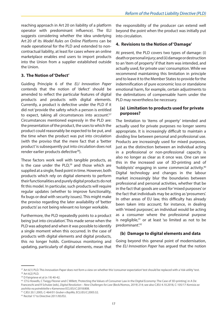<span id="page-16-0"></span>reaching approach in Art 20 on liability of a platform operator with predominant influence). The ELI suggests considering whether the idea underlying Art 20 of its *Model Rules on Online Platforms* can be made operational for the PLD and extended to noncontractual liability, at least for cases where an online marketplace enables end users to import products into the Union from a supplier established outside the Union.

#### **3. The Notion of 'Defect'**

Guiding Principle 6 of the *ELI Innovation Paper*  contends that the notion of 'defect' should be amended to reflect the particular features of digital products and products with digital elements. Currently, a product is defective under the PLD if it did not 'provide the safety which a person is entitled to expect, taking all circumstances into account'.<sup>37</sup> Circumstances mentioned expressly in the PLD are: the presentation of the product, the uses to which the product could reasonably be expected to be put, and the time when the product was put into circulation (with the proviso that the mere fact that a 'better product' is subsequently put into circulation does not render earlier products defective<sup>38</sup>).

These factors work well with tangible products, as is the case under the  $PLD<sub>1</sub><sup>39</sup>$  and those which are supplied at a single, fixed point in time. However, both products which rely on digital elements to perform their functionalities and purely digital products do not fit this model. In particular, such products will require regular updates (whether to improve functionality, fix bugs or deal with security issues). This might make the proviso regarding the later availability of 'better products' as not being relevant no longer workable.

Furthermore, the PLD repeatedly points to a product being 'put into circulation'. This made sense when the PLD was adopted and when it was possible to identify a single moment when this occurred. In the case of products with digital elements and digital products, this no longer holds. Continuous monitoring and updating, particularly of digital elements, mean that

the responsibility of the producer can extend well beyond the point when the product was initially put into circulation.

#### **4. Revisions to the Notion of 'Damage'**

At present, the PLD covers two types of damage: (i) death or personal injury; and (ii) damage or destruction to an 'item of property' if that item was intended, and actually used, for private use/ consumption. While we recommend maintaining this limitation in principle and to leave it to the Member States to provide for the indemnification of pure economic loss or standalone emotional harm, for example, certain adjustments to the delimitations of compensable harm under the PLD may nevertheless be necessary.

#### **(a) Limitation to products used for private purposes?**

The limitation to 'items of property' intended and actually used for private purposes no longer seems appropriate. It is increasingly difficult to maintain a dividing line between personal and professional use. Products are increasingly used for mixed purposes, just as the distinction between an individual acting in a professional or non-professional capacity is also no longer as clear as it once was. One can see this in the increased use of 3D-printing and of 'hobbyists' engaging in some commercial activity.40 Digital technology and changes in the labour market increasingly blur the boundaries between professional and personal activities, whether that be in the fact that goods are used for 'mixed purposes' or the fact that individuals may be acting as 'prosumers'. In other areas of EU law, this difficulty has already been taken into account; for instance, in dealing with 'mixed purposes', an individual would be acting as a consumer where the professional purpose is negligible, $41$  or at least 'so limited as not to be predominant'.42

#### **(b) Damage to digital elements and data**

Going beyond this general point of modernisation, the *ELI Innovation Paper* has argued that the notion

<sup>&</sup>lt;sup>37</sup> Art 6(1) PLD. This Innovation Paper does not form a view on whether this 'consumer expectation' test should be replaced with a 'risk-utility' test.

<sup>&</sup>lt;sup>38</sup> Art 6(2) PLD.<br><sup>39</sup> D Fairgrieve et al (n 19) 40-42.<br><sup>40</sup> Cf G Howells, C Twigg-Flesner and C Willett, 'Protecting the Values of Consumer Law in the Digital Economy: The Case of 3D-printing', in A De Franceschi and R Schulze (eds), *Digital Revolution – New Challenges for Law* (Beck/Nomos, 2019) 214; see also CJEU 4.10.2018, C-105/17 *Komisia za* 

*zashtita na potrebitelite v Kamenova* ECLI:EU:C:2018:808. 41 CJEU 20.1.2005, C-464/01 *Gruber v BayWa*, ECLI:EU:C:2005:32. 42 Recital 17 to Directive 2011/83/EU.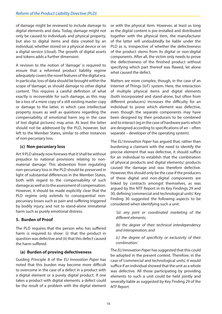<span id="page-17-0"></span>of damage might be reviewed to include damage to digital elements and data. Today, damage might not only be caused to individuals and physical property, but also to digital items and data created by an individual, whether stored on a physical device or on a digital service (cloud). The growth of digital assets and tokens adds a further dimension.

A revision to the notion of 'damage' is required to ensure that a reformed product liability regime adequately covers the novel features of the digital era. In particular, loss of data should be brought within the scope of 'damage', as should damage to other digital content. This requires a careful definition of what exactly is recoverable for such damage, as this may be a loss of a mere copy of a still existing master copy or damage to the latter, in which case intellectual property issues as well as questions regarding the compensability of emotional harm (eg in the case of lost digital pictures) may arise. At least the latter should not be addressed by the PLD, however, but left to the Member States, similar to other instances of non-pecuniary loss.

#### **(c) Non-pecuniary loss**

Art 9 PLD already now foresees that it 'shall be without prejudice to national provisions relating to nonmaterial damage.' This abstention from regulating non-pecuniary loss in the PLD should be preserved in light of substantial differences in the Member States, both with regard to the compensability of such damage as well as to the assessment of compensation. However, it should be made explicitly clear that the PLD regime only extends to consequential nonpecuniary losses such as pain and suffering triggered by bodily injury, and not to stand-alone immaterial harm such as purely emotional distress.

#### **5. Burden of Proof**

The PLD requires that the person who has suffered harm is required to show: (i) that the product in question was defective and (ii) that this defect caused the harm suffered.

#### **(a) Burden of proving defectiveness**

Guiding Principle 8 of the *ELI Innovation Paper* has noted that this burden may become more difficult to overcome in the case of a defect in a product with a digital element or a purely digital product. If one takes a product with digital elements, a defect could be the result of a problem with the digital element

or with the physical item. However, at least as long as the digital content is pre-installed and distributed together with the physical item, the manufacturer of the latter will undoubtedly be liable under the PLD as is, irrespective of whether the defectiveness of the product stems from its digital or non-digital components. After all, the victim only needs to prove the defectiveness of the finished product without specifying which part thereof was flawed, let alone what caused the defect.

Matters are more complex, though, in the case of an Internet of Things (IoT) system. Here, the interaction of multiple physical items and digital elements (both incorporated and stand-alone, but often from different producers) increases the difficulty for an individual to prove which element was defective, even though the separate components may have been designed by their producers to be combined and to interact (eg in the case of hardware parts which are designed according to specifications of an – often separate – developer of the operating system).

The *ELI Innovation Paper* has argued that, rather than burdening a claimant with the need to identify the precise element that was defective, it should suffice for an individual to establish that the combination of physical products and digital elements/ products caused the damage and was therefore defective. However, this should only be the case if the producers of these digital and non-digital components are linked by contracts amongst themselves, as was argued by the NTF Report in its Key Findings 29 and 30, defining 'commercial and technological units'. Key Finding 30 suggested the following aspects to be considered when identifying such a unit:

*'(a) any joint or coordinated marketing of the different elements;* 

*(b) the degree of their technical interdependency and interoperation; and*

*(c) the degree of specificity or exclusivity of their combination.'* 

The *ELI Innovation Paper* has suggested that this could be adopted in the present context. Therefore, in the case of 'commercial and technological units', it would suffice if an individual showed that the unit as a whole was defective. All those participating by providing elements to such a unit could be held jointly and severally liable as suggested by Key Finding 29 of the *NTF Report.*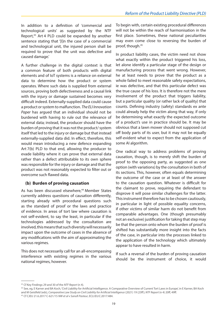<span id="page-18-0"></span>In addition to a definition of 'commercial and technological units' as suggested by the NTF Report,<sup>43</sup> Art 4 PLD could be expanded by another sentence stating that '[I]n the case of a commercial and technological unit, the injured person shall be required to prove that the unit was defective and caused damage.'

A further challenge in the digital context is that a common feature of both products with digital elements and of IoT systems is a reliance on external data to determine how the product or system operates. Where such data is supplied from external sources, proving both defectiveness and a causal link with the injury or damage sustained becomes very difficult indeed. Externally-supplied data could cause a product or system to malfunction. *The ELI Innovation Paper* has argued that an individual should not be burdened with having to rule out the relevance of external data; instead, the producer should have the burden of proving that it was not the product/ system itself that led to the injury or damage but that instead externally-supplied data did. In effect, therefore, this would mean introducing a new defence expanding Art 7(b) PLD to that end, allowing the producer to evade liability where it can prove that external data rather than a defect attributable to its own sphere was responsible for the injury or damage and that the product was not reasonably expected to filter out or overcome such flawed data.

#### **(b) Burden of proving causation**

As has been discussed elsewhere,<sup>44</sup> Member States currently address questions of causation differently, starting already with procedural questions such as the standard of proof or the laws and practice of evidence. In areas of tort law where causation is not self-evident, to say the least, in particular if the technologies addressed by the consultation are involved, this means that such diversity will necessarily impact upon the outcome of cases in the absence of any modifications with the aim of approximating the various regimes.

This does not necessarily call for an all-encompassing interference with existing regimes in the various national regimes, however.

To begin with, certain existing procedural differences will not be within the reach of harmonisation in the first place. Sometimes, these national peculiarities may even come close to reversing the burden of proof, though.45

In product liability cases, the victim need not show what exactly within the product triggered his loss, let alone identify a particular stage of the design or manufacturing process that went wrong. However, he at least needs to prove that the product as a whole failed to meet reasonable safety expectations, ie was defective, and that this particular defect was the true cause of his loss. It is therefore not the mere involvement of the product that triggers liability, but a particular quality (or rather lack of quality) that counts. Defining industry (safety) standards ex ante could already help the victim along that way, if only be determining what exactly the expected outcome of a product's use in practice should be. It may be obvious that a lawn mower should not supposed cut off body parts of its user, but it may not be equally self-evident what to expect from the application of some AI algorithm.

One radical way to address problems of proving causation, though, is to merely shift the burden of proof to the opposing party, as suggested as one option (with variations) by the consultation in both of its sections. This, however, often equals determining the outcome of the case or at least of the answer to the causation question. Whatever is difficult for the claimant to prove, requiring the defendant to disprove it will pose similar challenges for the latter. This instrument therefore has to be chosen cautiously, in particular in light of possible equality concerns, if other victims of similar harm do not benefit from comparable advantages. One (though presumably not an exclusive) justification for taking that step may be that the person onto whom the burden of proof is shifted has substantially more insight into the facts of the case, in particular into the processes linked to the application of the technology which ultimately appear to have resulted in harm.

If such a reversal of the burden of proving causation should be the instrument of choice, it would

<sup>43</sup> Cf Key Findings 29 and 30 of the *NTF Report* (n 4).

<sup>44</sup> See, eg, E Karner and BA Koch, 'Civil Liability for Artificial Intelligence. A Comparative Overview of Current Tort Laws in Europe', in E Karner, BA Koch and M Geistfeld (eds), *Comparative Law Study on Civil Liability for Artificial Intelligence* (2021) 19 (23ff); *NTF Report* (n 4) 20ff, 49ff. 45 Cf CJEU 21.6.2017 C-621/15 *NW et al v Sanofi Pasteur*, ECLI:EU:C:2017:484.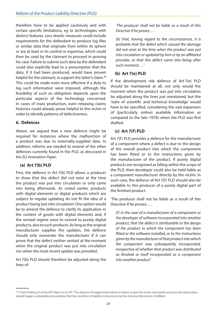<span id="page-19-0"></span>therefore have to be applied cautiously and with certain specific limitations, eg to technologies with distinct features. Less drastic measures could include requirements for the defendant to produce log files or similar data that originate from within its sphere or are at least in its control or expertise, which could then be used by the claimant to proceed in proving his case. Failure to submit such data by the defendant could also explicitly lead to a presumption that the data, if it had been produced, would have proven helpful for the claimant, ie support the latter's claim.<sup>46</sup> This could be made even more effective if a duty to log such information were imposed, although the feasibility of such an obligation depends upon the particular aspects of the technology concerned. In cases of mass production, even releasing claims histories could already prove helpful to the victim in order to identify patterns of defectiveness.

#### **6. Defences**

Above, we argued that a new defence might be required for instances where the malfunction of a product was due to externally-supplied data. In addition, reforms are needed to several of the other defences currently found in the PLD, as discussed in the *ELI Innovation Paper.* 

#### **(a) Art 7(b) PLD**

First, the defence in Art 7(b) PLD allows a producer to show that the defect did not exist at the time the product was put into circulation or only came into being afterwards. As noted earlier, products with digital elements or digital products which are subject to regular updating do not fit the idea of a product being 'put into circulation'. One option would be to amend the defence to clarify its application in the context of goods with digital elements and, if the revised regime were to extend to purely digital products, also to such products. As long as the original manufacturer supplies the updates, the defence should only exonerate the manufacturer if it can prove that the defect neither existed at the moment when the original product was put into circulation nor when the most recent update was provided.

Art 7(b) PLD should therefore be adjusted along the lines of:

*'The producer shall not be liable as a result of this Directive if he proves: …* 

*(b) that, having regard to the circumstances, it is probable that the defect which caused the damage did not exist at the time when the product was put into circulation or updated by him or by an affiliated provider, or that this defect came into being after such moment; …'* 

#### **(b) Art 7(e) PLD**

If the development risk defence of Art 7(e) PLD should be maintained at all, not only would the moment when the product was put into circulation be adjusted along the lines just mentioned, but the 'state of scientific and technical knowledge' would have to be specified, considering the vast expansion of (particularly online) available information as compared to the late 1970s when the PLD was first drafted.

#### **(c) Art 7(f) PLD**

Art 7(f) PLD provides a defence for the manufacturer of a component where a defect is due to the design of the overall product into which the component has been fitted or to the instructions given by the manufacturer of the product. If purely digital products are recognised as falling within the scope of the PLD, their developer could also be held liable as a component manufacturer directly by the victim. In such case, the defence of Art 7(f) PLD should also be available to this producer of a purely digital part of the finished product.

'The producer shall not be liable as a result of this Directive if he proves: …

*(f) in the case of a manufacturer of a component or the developer of software incorporated into another product, that the defect is attributable to the design of the product in which the component has been fitted or the software installed, or to the instructions given by the manufacturer of that product into which the component was subsequently incorporated, irrespective of whether that product was distributed as finished or itself incorporated as a component into another product.'*

<sup>46</sup> Cf Key Finding 22 of the *NTF Report* (n 4) 47f: 'The absence of logged information or failure to give the victim reasonable access to the information should trigger a rebuttable presumption that the condition of liability to be proven by the missing information is fulfilled.'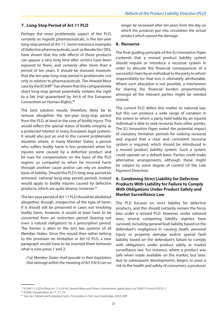#### <span id="page-20-0"></span>**7. Long-Stop Period of Art 11 PLD**

Perhaps the most problematic aspect of the PLD, certainly as regards pharmaceuticals, is the ten-year long-stop period of Art 11. Some notorious examples of defective pharmaceuticals, such as Bendectin/ DES, have shown that the side effects of these products can appear a very long time after victims have been exposed to them, and certainly after more than a period of ten years. It should be stressed, however, that the ten-year long-stop period is problematic not only in relation to pharmaceuticals. The *Howald Moor*  case by the ECtHR<sup>47</sup> has shown that this comparatively short long-stop period potentially violates the right to a fair trial guaranteed by Art 6 of the European Convention on Human Rights.48

The best solution would, therefore, likely be to remove altogether the ten-year long-stop period from the PLD, at least in the case of bodily injury. This would reflect the special status of bodily integrity as a protected interest in many European legal systems. It would also put an end to the current problematic situation where, in many Member States, a person who suffers bodily harm is less protected when his injuries were caused by a defective product and he sues for compensation on the basis of the PLD regime, as compared to when he incurred harm through another cause and/or can rely on another basis of liability. Should the PLD's long-stop period be removed, national long-stop period periods instead would apply to bodily injuries caused by defective products, which are quite diverse, however.<sup>49</sup>

The ten-year period of Art 11 PLD should be abolished altogether, though, irrespective of the type of harm. If it should still be preserved in cases not involving bodily harm, however, it would at least have to be converted from an extinction period (leaving not even a natural obligation) to a prescription period. The former is alien to the tort law systems of all Member States. Since this would then rather belong to the provision on limitation in Art 10 PLD, a new paragraph would have to be inserted there between what is now paras 1 and 2:

*(1a) Member States shall provide in their legislation that damage within the meaning of Art 9 lit b can no*  *longer be recovered after ten years from the day on which the producer put into circulation the actual product which caused the damage.*

#### **8. Recourse**

The final guiding principle of the *ELI Innovation Paper* contends that a revised product liability system should require or introduce a recourse system in order to allocate the financial consequences of a successful claim by an individual to the party to whom responsibility for that loss is ultimately attributable. Where such allocation is not possible, a mechanism for sharing the financial burden proportionally amongst all the relevant parties might be needed instead.

The current PLD defers this matter to national law, but this can produce a wide range of variation in the extent to which a party held liable by an injured individual is able to seek recourse from other parties. The *ELI Innovation Paper* noted the potential impact of statutory limitation periods for seeking recourse and argued that a clear and consistent recourse system is required, which should be introduced in a revised product liability system. Such a system could operate on a default basis. Parties could make alternative arrangements, although these might be subject to some degree of control (cf the Late Payment Directive).

#### **9. Combining Strict Liability for Defective Products With Liability for Failure to Comply With Obligations Under Product Safety and Market Surveillance Law**

The PLD focuses on strict liability for defective products, and this should certainly remain the focus also under a revised PLD. However, under national laws, several competing liability regimes have survived, including general fault liability based on the defendant's negligence in causing death, personal injury or property damage and/or special fault liability based on the defendant's failure to comply with obligations under product safety or market surveillance law. For instance, where a product was safe when made available on the market, but later, due to subsequent developments, begins to pose a risk to the health and safety of consumers, a producer

<sup>47</sup> ECtHR 11.3.2014 (final on 11.6.2014), *Howald Moor and Others v Switzerland*, application nos 52067/10 and 41072/11.

<sup>48</sup> ECtHR, *Howald Moor,* pt 71, 77, 79.

<sup>49</sup> See, eg, I Gilead and B Askeland (eds), *Prescription in Tort Law* (Cambridge, 2020) 89ff.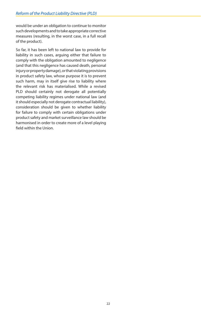would be under an obligation to continue to monitor such developments and to take appropriate corrective measures (resulting, in the worst case, in a full recall of the product).

So far, it has been left to national law to provide for liability in such cases, arguing either that failure to comply with the obligation amounted to negligence (and that this negligence has caused death, personal injury or property damage), or that violating provisions in product safety law, whose purpose it is to prevent such harm, may in itself give rise to liability where the relevant risk has materialised. While a revised PLD should certainly not derogate all potentially competing liability regimes under national law (and it should especially not derogate contractual liability), consideration should be given to whether liability for failure to comply with certain obligations under product safety and market surveillance law should be harmonised in order to create more of a level playing field within the Union.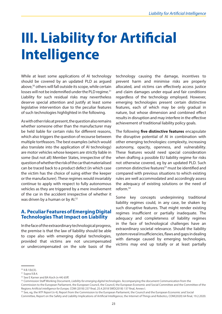# <span id="page-22-0"></span>**III. Liability for Artificial Intelligence**

While at least some applications of AI technology should be covered by an updated PLD as argued above,<sup>50</sup> others will fall outside its scope, while certain losses will not be indemnified under the PLD regime.<sup>51</sup> Liability for such residual risks may nevertheless deserve special attention and justify at least some legislative intervention due to the peculiar features of such technologies highlighted in the following.

As with other risks at present, the question also remains whether someone other than the manufacturer may be held liable for certain risks for different reasons, which also triggers the question of recourse between multiple tortfeasors. The best examples (which would also translate into the application of AI technology) are motor vehicles whose keepers are strictly liable in some (but not all) Member States, irrespective of the question of whether the risk of the car that materialised can be traced back to a product defect (in which case the victim has the choice of suing either the keeper or the manufacturer). These regimes would invariably continue to apply with respect to fully autonomous vehicles as they are triggered by a mere involvement of the car in the accident irrespective of whether it was driven by a human or by Al.<sup>52</sup>

#### **A. Peculiar Features of Emerging Digital Technologies That Impact on Liability**

In the face of the extraordinary technological progress, the premise is that the law of liability should be able to cope also with emerging digital technologies, provided that victims are not uncompensated or undercompensated on the sole basis of the technology causing the damage, incentives to prevent harm and minimise risks are properly allocated, and victims can effectively access justice and claim damages under equal and fair conditions regardless of the technology employed. However, emerging technologies present certain distinctive features, each of which may be only gradual in nature, but whose dimension and combined effect results in disruption and may interfere in the effective achievement of traditional liability policy goals.

The following **five distinctive features** encapsulate the disruptive potential of AI in combination with other emerging technologies: complexity, increasing autonomy, opacity, openness, and vulnerability. These features would need special consideration when drafting a possible EU liability regime for risks not otherwise covered, eg by an updated PLD. Such common distinctive features<sup>53</sup> must be identified and compared with previous situations to which existing rules are well accommodated and accordingly assess the adequacy of existing solutions or the need of reform.54

Some key concepts underpinning traditional liability regimes could, in any case, be shaken by such disruptive features. That might render existing regimes insufficient or partially inadequate. The adequacy and completeness of liability regimes in the face of technological challenges have an extraordinary societal relevance. Should the liability system reveal insufficiencies, flaws and gaps in dealing with damage caused by emerging technologies, victims may end up totally or at least partially

52 See E Karner and BA Koch (n 44) 65ff.

Commission to the European Parliament, the European Council, the Council, the European Economic and Social Committee and the Committee of the Regions *Artificial intelligence for Europe,* COM (2018) 237 final, 25.4.2018 SWD(2018) 137 final, Annex I.

 $50$  II.B.1(b)(3).

<sup>51</sup> Supra II.B.4.

<sup>53</sup> Commission Staff Working Document, *Liability for emerging digital technologies.* Accompanying the document Communication from the

<sup>54</sup> See, eg, the *NTF Report* (n 4); Report from the Commission to the European Parliament, the Council and the European Economic and Social Committee, Report on the Safety and Liability Implications of Artificial Intelligence, the Internet of Things and Robotics, COM(2020) 64 final, 19.2.2020.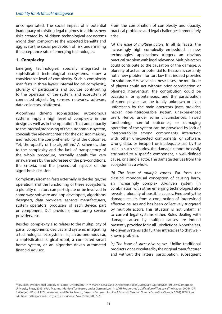<span id="page-23-0"></span>uncompensated. The social impact of a potential inadequacy of existing legal regimes to address new risks created by AI-driven technological ecosystems might then compromise the expected benefits and aggravate the social perception of risk undermining the acceptance rate of emerging technologies.

#### **1. Complexity**

Emerging technologies, specially integrated in sophisticated technological ecosystems, show a considerable level of complexity. Such a complexity manifests in three layers: internal logical complexity, plurality of participants and sources contributing to the operation of the system, and ecosystem of connected objects (eg sensors, networks, software, data collectors, platforms).

Algorithms driving sophisticated autonomous systems imply a high level of complexity in the design as well as in the operation. That adds opacity to the internal processing of the autonomous system, conceals the relevant criteria for the decision making, and reduces the comprehensibility of the outcomes. Yet, the opacity of the algorithm/ AI schemes, due to the complexity and the lack of transparency of the whole procedure, normally entails the very unawareness by the addressee of the pre-conditions, the criteria, and the procedural aspects of the algorithmic decision.

Complexity also manifests externally. In the design, the operation, and the functioning of these ecosystems, a plurality of actors can participate or be involved in some way: software and app developers, algorithms' designers, data providers, sensors' manufacturers, system operators, producers of each device, part or component, DLT providers, monitoring service providers, etc.

Besides, complexity also relates to the multiplicity of parts, components, devices and systems integrating a technological ecosystem – ie, an autonomous car, a sophisticated surgical robot, a connected smart home system, or an algorithm-driven automated financial advisor.

From the combination of complexity and opacity, practical problems and legal challenges immediately arise.

*(a) The issue of multiple actors.* In all its facets, the increasingly high complexity embedded in new technologies' applications triggers an obvious practical problem with legal relevance. Multiple actors could contribute to the causation of the damage. A plurality of actual or potential tortfeasors is certainly not a new problem for tort law that indeed provides for solutions.55 However, in these cases, the multitude of players could act without prior coordination or planned intervention, the contribution could be occasional or spontaneous, and the participation of some players can be totally unknown or even unforeseen by the main operators (data provider, hacker, non-interoperable system, unexperienced user). Hence, under some circumstances, flawed functioning, harmful outcomes, or damaging operation of the system can be provoked by lack of interoperability among components, interaction with other unexpected components or software, wrong data, or inexpert or inadequate use by the user. In such scenarios, the damage cannot be easily attributed to a specific component, a well-defined cause, or a single actor. The damage derives from the ecosystem as a whole.

*(b) The issue of multiple causes.* Far from the classical monocausal conception of causing harm, an increasingly complex AI-driven system (in combination with other emerging technologies) also reveals a plurality of possible causes. Frequently, the damage results from a conjunction of intertwined effective causes and has been collectively triggered by multiple actors. This situation is not unfamiliar to current legal systems either. Rules dealing with damage caused by multiple causes are indeed presently provided for in all jurisdictions. Nonetheless, AI-driven systems add further intricacies to that wellknown problem.

*(c) The issue of successive causes.* Unlike traditional products, once circulated by the original manufacturer and without the latter's participation, subsequent

<sup>55</sup> BA Koch, 'Proportional Liability for Causal Uncertainty', in M Martín-Casals and D Papayannis (eds), *Uncertain Causation in Tort Law* (Cambridge University Press, 2015) 67; U Magnus, 'Multiple Tortfeasors under German Law', in WVH Rodgers (ed), *Unification of Tort Law* (The Hague, 2004) 107; B Winiger, H Koziol, R Zimmermann and BA Koch (eds), *Digest of European Tort law I: Essential Cases on Natural Causation* (Vienna, 2007); B Winiger, 'Multiple Tortfeasors', in L Tichý (ed), *Causation in Law* (Praha, 2007) 79.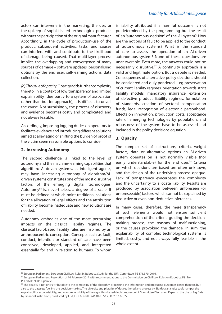<span id="page-24-0"></span>actors can intervene in the marketing, the use, or the upkeep of sophisticated technological products without the participation of the original manufacturer. Accordingly, in the cycle of production-use of the product, subsequent activities, tasks, and causes can interfere with and contribute to the likelihood of damage being caused. That multi-layer process implies the overlapping and convergence of many sources of damage – software updates, personalising options by the end user, self-learning actions, data collection.

*(d) The issue of opacity.* Opacity adds further complexity thereto. In a context of low transparency and limited explainability (due partly to a system of association rather than but-for approach), it is difficult to unveil the cause. Not surprisingly, the process of discovery and evidence becomes costly and complicated, and not always feasible.

Accordingly, imposing logging duties on operators to facilitate evidence and introducing different solutions aimed at alleviating or shifting the burden of proof of the victim seem reasonable options to consider.

#### **2. Increasing Autonomy**

The second challenge is linked to the level of autonomy and the machine-learning capabilities that algorithm/ AI-driven systems, as intelligent agents, may have. Increasing autonomy of algorithm/AIdriven systems constitutes one of the most disruptive factors of the emerging digital technologies. Autonomy<sup>56</sup> is, nevertheless, a degree of a scale. It must be defined at which point traditional solutions for the allocation of legal effects and the attribution of liability become inadequate and new solutions are needed.

Autonomy embodies one of the most perturbing impacts on the classical liability regimes. The classical fault-based liability rules are inspired by an anthropocentric conception. Concepts such as fault, conduct, intention or standard of care have been conceived, developed, applied, and interpreted essentially for and in relation to humans. To whom

is liability attributed if a harmful outcome is not predetermined by the programming but the result of an 'autonomous decision' of the AI system? How are the notions of fault to be applied to the 'conduct' of autonomous systems? What is the standard of care to assess the operation of an AI-driven autonomous system? None of these questions are unanswerable. Even more, the answers could not be necessarily disruptive.<sup>57</sup> A continuity approach is a valid and legitimate option. But a debate is needed. Consequences of alternative policy decisions should be considered and duly pondered – eg preservation of current liability regimes, orientation towards strict liability models, mandatory insurance, extension of defective product liability regimes, formulation of standards, creation of sectoral compensation funds, legal recognition of electronic personhood. Effects on innovation, production costs, acceptance rate of emerging technologies by population, and robustness of the system have to be assessed and included in the policy decisions equation.

#### **3. Opacity**

The complex set of instructions, criteria, weight factors, data or alternative options an AI-driven system operates on is not normally visible (nor easily understandable) for the end user.<sup>58</sup> Criteria on which decisions are based are often unknown, and the design of the underlying process opaque. Lack of transparency exacerbates the complexity and the uncertainty to allocate liability. Results are produced by association between unforeseen (or unforeseeable) factors, which cannot be explained by deductive or even non-deductive inferences.

In many cases, therefore, the mere transparency of such elements would not ensure sufficient comprehension of the criteria guiding the decisionmaking process, the reasons of malfunctioning, or the causes provoking the damage. In sum, the explainability of complex technological systems is limited, costly, and not always fully feasible in the whole extent.

<sup>56</sup> European Parliament, European Civil Law Rules in Robotics, Study for the JURI Committee, PE 571.379, 2016.

<sup>57</sup> European Parliament, Resolution of 16 February 2017 with recommendations to the Commission on Civil Law Rules on Robotics, P8\_TA-PROV(2017)0051, para 59.

<sup>&</sup>lt;sup>58</sup> The opacity is not only attributable to the complexity of the algorithm processing the information and producing outcomes based thereon, but also to the datasets fuelling the decision-making. The diversity and plurality of data gathered and process by Big data analytics tools hamper the explainability, accountability, and comprehensibility of the algorithm-based decisions; see Joint Committee Discussion Paper on the Use of Big Data by Financial Institutions, produced by EBA, EIOPA, and ESMA (the ESAs), JC 2016 86, 27.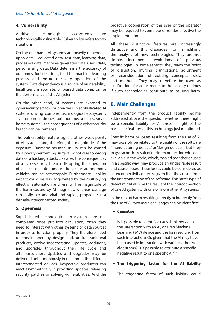#### <span id="page-25-0"></span>**4. Vulnerability**

AI-driven technological ecosystems are technologically vulnerable. Vulnerability refers to two situations.

On the one hand, AI systems are heavily dependent upon data – collected data, test data, learning data, processed data, machine-generated data, user's data, personalising data. Data determine the accuracy of outcomes, fuel decisions, feed the machine-learning process, and ensure the very operation of the system. Data dependency is a source of vulnerability. Insufficient, inaccurate, or biased data compromise the performance of the AI system.

On the other hand, AI systems are exposed to cybersecurity attacks or breaches. In sophisticated AI systems driving complex technological ecosystems – autonomous drones, autonomous vehicles, smart home systems – the consequences of a cybersecurity breach can be immense.

The vulnerability feature signals other weak points of AI systems and, therefore, the magnitude of the exposure. Dramatic personal injury can be caused by a poorly-performing surgical robot due to wrong data or a hacking attack. Likewise, the consequences of a cybersecurity breach disrupting the operation of a fleet of autonomous drones or autonomous vehicles can be catastrophic. Furthermore, liability impact could be also aggravated by the multiplying effect of automation and virality. The magnitude of the harm caused by AI magnifies, whereas damage can easily become viral and rapidly propagate in a densely-interconnected society.

#### **5. Openness**

Sophisticated technological ecosystems are not completed once put into circulation; often they need to interact with other systems or data sources in order to function properly. They therefore need to remain open by design and, unlike traditional products, evolve incorporating updates, additions, and upgrades throughout their life cycle and after circulation. Updates and upgrades may be delivered unharmoniously in relation to the different interconnected devices. Respective producers can react asymmetrically in providing updates, releasing security patches or solving vulnerabilities. And the proactive cooperation of the user or the operator may be required to complete or render effective the implementation.

All these distinctive features are increasingly disruptive and this dissuades from simplifying the analysis of new technologies. They are not simple, incremental evolutions of previous technologies. In some aspects, they reach the 'point of disruption', inviting clarifications, adjustment or reconsideration of existing concepts, rules, and methods. They may therefore be used as justifications for adjustments to the liability regimes if such technologies contribute to causing harm.

#### **B. Main Challenges**

Independently from the product liability regime addressed above, the question whether there might be a specific liability for AI arises in light of the particular features of this technology just mentioned.

Specific harm or losses resulting from the use of AI may possibly be related to the quality of the software ('manufacturing defects' or 'design defects'), but they may also be the result of the interconnection with data available in the world, which, pooled together or used in a specific way, may produce an undesirable result and cause losses. These losses could be considered as 'interconnectivity defects', given that they result from the interconnection of the software. This latter type of defect might also be the result of the interconnection of one AI system with one or more other AI systems.

In the case of harm resulting directly or indirectly from the use of AI, two main challenges can be identified:

• **Causation**

Is it possible to identify a causal link between the interaction with an AI, or even Machine Learning ('ML') device and the loss resulting from such interaction? Or, given that the AI may have been used in interaction with various other ML algorithms? Is it possible to attribute a specific negative result to one specific AI?59

• **The triggering factor for the AI liability** 

The triggering factor of such liability could

<sup>&</sup>lt;sup>59</sup> See also III.C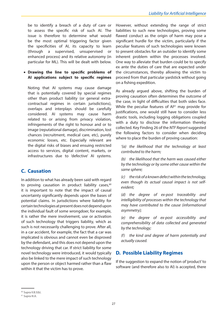<span id="page-26-0"></span>be to identify a breach of a duty of care or to assess the specific risk of such AI. The issue is therefore to determine what would be the most optimal triggering factor given the specificities of AI, its capacity to learn (through a supervised, unsupervised or enhanced process) and its relative autonomy (in particular for ML). This will be dealt with below.

#### • **Drawing the line to specific problems of AI applications subject to specific regimes**

Noting that AI systems may cause damage that is potentially covered by special regimes other than product liability (or general extracontractual regimes in certain jurisdictions), overlaps and interplays should be carefully considered. AI systems may cause harm related to or arising from privacy violation, infringements of the right to honour and or to image (reputational damage), discrimination, lost chances (recruitment, medical care, etc), purely economic losses, etc. Especially relevant are the digital risks of biases and ensuing restricted access to services, digital content, markets, or infrastructures due to 'defective' AI systems.

#### **C. Causation**

In addition to what has already been said with regard to proving causation in product liability cases, $60$ it is important to note that the impact of causal uncertainty significantly depends upon the bases of potential claims. In jurisdictions where liability for certain technologies at present does not depend upon the individual fault of some wrongdoer, for example, it is rather the mere involvement, use or activation of such technology that triggers liability, which as such is not necessarily challenging to prove. After all, in a car accident, for example, the fact that a car was implicated is obvious and cannot even be disproved by the defendant, and this does not depend upon the technology driving that car. If strict liability for some novel technology were introduced, it would typically also be linked to the mere impact of such technology upon the person or object harmed rather than a flaw within it that the victim has to prove.

However, without extending the range of strict liabilities to such new technologies, proving some flawed conduct as the origin of harm may pose a significant hurdle for the victim, particularly if the peculiar features of such technologies were known to present obstacles for an outsider to identify some inherent problem within the processes involved. One way to alleviate that burden could be to specify ex ante the duties of care that are expected under the circumstances, thereby allowing the victim to proceed from that particular yardstick without going on a fishing expedition.

As already argued above, shifting the burden of proving causation often determines the outcome of the case, in light of difficulties that both sides face. While the peculiar features of Al<sup>61</sup> may provide for justifications, one would still have to consider less drastic tools, including logging obligations coupled with a duty to disclose the information thereby collected. Key Finding 26 of the *NTF Report* suggested the following factors to consider when deciding where to place the burden of proving causation:

*'(a) the likelihood that the technology at least contributed to the harm;* 

*(b) the likelihood that the harm was caused either by the technology or by some other cause within the same sphere;* 

*(c) the risk of a known defect within the technology, even though its actual causal impact is not selfevident;* 

*(d) the degree of ex-post traceability and intelligibility of processes within the technology that may have contributed to the cause (informational asymmetry);* 

*(e) the degree of ex-post accessibility and comprehensibility of data collected and generated by the technology;* 

*(f) the kind and degree of harm potentially and actually caused.*

#### **D. Possible Liability Regimes**

If the suggestion to expand the notion of 'product' to software (and therefore also to AI) is accepted, there

 $60$  Supra II.B.5(b).

<sup>61</sup> Supra III.A.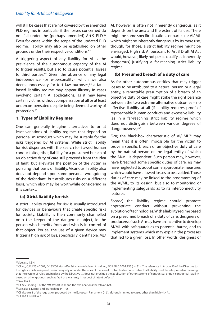<span id="page-27-0"></span>will still be cases that are not covered by the amended PLD regime, in particular if the losses concerned do not fall under the (perhaps amended) Art 9 PLD.<sup>62</sup> Even for cases within the scope of the updated PLD regime, liability may also be established on other grounds under their respective conditions.63

A triggering aspect of any liability for AI is the prevalence of the autonomous capacity of the AI to trigger results, but also to cause potential losses to third parties.<sup>64</sup> Given the absence of any legal independence (or e-personality), which we also deem unnecessary for tort law purposes,<sup>65</sup> a faultbased liability regime may appear illusory in cases involving certain AI applications, as it may leave certain victims without compensation at all or at least undercompensated despite being deemed worthy of protection.<sup>66</sup>

#### **1. Types of Liability Regimes**

One can generally imagine alternatives to or at least variations of liability regimes that depend on personal misconduct which may be suitable for the risks triggered by AI systems. While strict liability for risk dispenses with the search for flawed human conduct altogether, liability for a presumed breach of an objective duty of care still proceeds from the idea of fault, but alleviates the position of the victim in pursuing that basis of liability. Vicarious liability also does not depend upon some personal wrongdoing of the defendant, but attributes risks on a different basis, which also may be worthwhile considering in this context.

#### **(a) Strict liability for risk**

A strict liability regime for risk is usually introduced for devices or behaviours that create specific risks for society. Liability is then commonly channelled onto the keeper of the dangerous object, ie the person who benefits from and who is in control of that object. Per se, the use of a given device may trigger a high risk of loss, specifically identifiable. ML/ AI, however, is often not inherently dangerous, as it depends on the area and the extent of its use. There might be some specific situations or particular AI/ ML which might be inherently dangerous by its mere use, though; for those, a strict liability regime might be envisaged. High risk AI pursuant to Art 3 Draft AI Act would, however, likely not per se qualify as 'inherently dangerous', justifying a far-reaching strict liability regime.

#### **(b) Presumed breach of a duty of care**

As for other autonomous entities that may trigger losses to be attributed to a natural person or a legal entity, a rebuttable presumption of a breach of an objective duty of care might strike the right balance between the two extreme alternative outcomes – no effective liability at all (if liability requires proof of reproachable human conduct) and excessive liability (as in a far-reaching strict liability regime which does not distinguish between various degrees of dangerousness).<sup>67</sup>

First, the black-box characteristic of AI/ ML<sup>68</sup> may mean that it is often impossible for the victim to prove a specific breach of an objective duty of care by the natural person or the legal entity of which the AI/ML is dependent. Such person may, however, have breached some specific duties of care, eg may have neglected to adopt some appropriate measures which would have allowed losses to be avoided. Those duties of care may be linked to the programming of the AI/ML, to its design, but also to monitoring or implementing safeguards as to its interconnectivity features.

*Second,* the liability regime should promote appropriate conduct without preventing the evolution of technologies. With a liability regime based on a presumed breach of a duty of care, designers or producers of such AI may have an incentive to develop AI/ML with safeguards as to potential harms, and to implement systems which may explain the processes that led to a given loss. In other words, designers or

<sup>62</sup> See also II.B.4.

<sup>63</sup> Cf, eg, CJEU 25.4.2002, C-183/00, *González Sánchez v Medicina Asturiana,* ECLI:EU:C:2002:255 (no 31): 'The reference in Article 13 of the Directive to the rights which an injured person may rely on under the rules of the law of contractual or non-contractual liability must be interpreted as meaning that the system of rules put in place by the Directive ... does not preclude the application of other systems of contractual or non-contractual liability based on other grounds, such as fault or a warranty in respect of latent defects.'

<sup>64</sup> See III.A.2.

<sup>65</sup> Cf Key Finding 8 of the *NTF Report* (n 4) and the explanations thereto at 37ff.

<sup>66</sup> See also E Karner and BA Koch (n 44) 105.

<sup>&</sup>lt;sup>67</sup> Cf also Art 8 of the regulation proposed by the European Parliament (n 5), although limited to cases other than high-risk AI.

<sup>68</sup> Cf III.A.1 and III.A.3.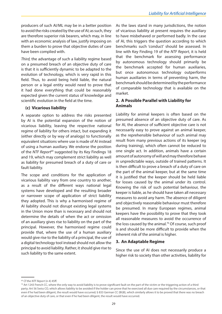<span id="page-28-0"></span>producers of such AI/ML may be in a better position to avoid the risks created by the use of AI; as such, they are therefore superior risk bearers, which may, in line with an economic analysis of law, justify imposing on them a burden to prove that objective duties of care have been complied with.

*Third,* the advantage of such a liability regime based on a presumed breach of an objective duty of care is that it is sufficiently dynamic to be adapted to the evolution of technology, which is very rapid in this field. Thus, to avoid being held liable, the natural person or a legal entity would need to prove that it had done everything that could be reasonably expected given the current status of knowledge and scientific evolution in the field at the time.

#### **(c) Vicarious liability**

A separate option to address the risks presented by AI is the potential expansion of the notion of vicarious liability, leaving the respective national regime of liability for others intact, but expanding it (either directly or by way of analogy) to functionally equivalent situations where use is made of AI instead of using a human auxiliary. We endorse the position of the *NTF Report<sup>69</sup>* suggested by its Key Findings 18 and 19, which may complement strict liability as well as liability for presumed breach of a duty of care or fault liability.

The scope and conditions for the application of vicarious liability vary from one country to another, as a result of the different ways national legal systems have developed and the resulting broader or narrower scope of application of strict liability they adopted. This is why a harmonised regime of AI liability should not disrupt existing legal systems in the Union more than is necessary and should not determine the details of when the act or omission of an auxiliary gives rise to liability on the part of the principal. However, the harmonised regime could provide that, where the use of a human auxiliary would give rise to the liability of a principal, the use of a digital technology tool instead should not allow the principal to avoid liability. Rather, it should give rise to such liability to the same extent.

As the laws stand in many jurisdictions, the notion of vicarious liability at present requires the auxiliary to have misbehaved or performed badly. In the case of AI, this triggers the question according to which benchmarks such 'conduct' should be assessed. In line with Key Finding 19 of the *NTF Report*, it is held that the benchmark for assessing performance by autonomous technology should primarily be the benchmark accepted for human auxiliaries, but once autonomous technology outperforms human auxiliaries in terms of preventing harm, the benchmark should be determined by the performance of comparable technology that is available on the market.

#### **2. A Possible Parallel with Liability for Animals**

Liability for animal keepers is often based on the presumed absence of an objective duty of care. As for AI, the absence of sufficient objective care is not necessarily easy to prove against an animal keeper, as the reprehensible behaviour of such animal may result from many previous actions of its keeper (eg during training), which often cannot be reduced to one single act. In addition, animals have a certain amount of autonomy of will and may therefore behave in unpredictable ways, outside of trained patterns. It is then difficult to prove a breach of a duty of care on the part of the animal keeper, but at the same time it is justified that the keeper should be held liable for losses caused by the animal under its control. Knowing the risk of such potential behaviour, the keeper is liable, as he should have taken all necessary measures to avoid any harm. The absence of diligent and objectively reasonable behaviour must therefore be presumed. In many European regimes, animal keepers have the possibility to prove that they took all reasonable measures to avoid the occurrence of the loss caused by the animal.<sup>70</sup> Of course, such proof is and should be more difficult to provide when the inherent risk of the animal is higher.

#### **3. An Adaptable Regime**

Since the use of AI does not necessarily produce a higher risk to society than other activities, liability for

<sup>69</sup> Cf the *NTF Report* (n 4) 45ff.

 $70$  Art 1243 French CC, where the only way to avoid liability is to prove significant fault on the part of the victim or the triggering action of a third party; Art 56 Swiss CO, which allows liability to be avoided if the holder can prove that he exercised all due care required by the circumstances, or that even if he had been diligent, the result would have occurred; § 833 German CC (BGB), which similarly allows it to be proved that there was no breach of an objective duty of care, or that even if he had been diligent, the result would have occurred.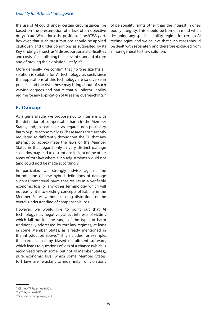<span id="page-29-0"></span>the use of AI could, under certain circumstances, be based on the presumption of a lack of an objective duty of care. We endorse the position of the *NTF Report,* however, that such presumptions should be applied cautiously and under conditions as suggested by its Key Finding 27, such as 'if disproportionate difficulties and costs of establishing the relevant standard of care and of proving their violation justify it.<sup>71</sup>

More generally, we confirm that no 'one size fits all' solution is suitable for 'AI technology' as such, since the applications of this technology are so diverse in practice and the risks these may bring about of such varying degrees and nature that a uniform liability regime for any application of AI seems overreaching.72

#### **E. Damage**

As a general rule, we propose not to interfere with the definition of compensable harm in the Member States, and, in particular, as regards non-pecuniary harm or pure economic loss. These areas are currently regulated so differently throughout the EU that any attempt to approximate the laws of the Member States in that regard only in very distinct damage scenarios may lead to disruptions in light of the other areas of tort law where such adjustments would not (and could not) be made accordingly.

In particular, we strongly advise against the introduction of new hybrid definitions of damage such as 'immaterial harm that results in a verifiable economic loss' or any other terminology which will not easily fit into existing concepts of liability in the Member States without causing distortions of the overall understanding of compensable loss.

However, we would like to point out that AI technology may negatively affect interests of victims which fall outside the range of the types of harm traditionally addressed by tort law regimes, at least in some Member States, as already mentioned in the introduction above.<sup>73</sup> This includes, for example, the harm caused by biased recruitment software, which leads to questions of loss of a chance (which is recognised only in some, but not all Member States), pure economic loss (which some Member States' tort laws are reluctant to indemnify), or violations

of personality rights other than the interest in one's bodily integrity. This should be borne in mind when designing any specific liability regime for certain AI technologies, and we believe that such cases should be dealt with separately and therefore excluded from a more general tort law solution.

<sup>71</sup> Cf the *NTF Report* (n 4) 52ff. 72 *NTF Report* (n 4) 36.

<sup>73</sup> See text accompanying n 3.